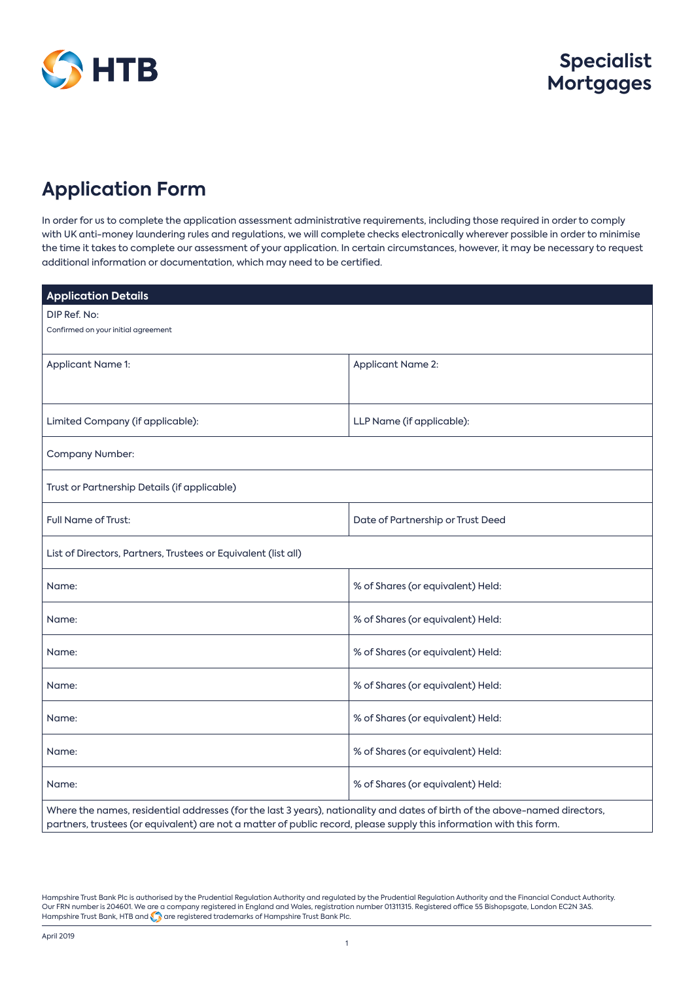

# **Application Form**

In order for us to complete the application assessment administrative requirements, including those required in order to comply with UK anti-money laundering rules and regulations, we will complete checks electronically wherever possible in order to minimise the time it takes to complete our assessment of your application. In certain circumstances, however, it may be necessary to request additional information or documentation, which may need to be certified.

| <b>Application Details</b>                                                                                                                                                                                                                          |                                   |  |  |
|-----------------------------------------------------------------------------------------------------------------------------------------------------------------------------------------------------------------------------------------------------|-----------------------------------|--|--|
| DIP Ref. No:                                                                                                                                                                                                                                        |                                   |  |  |
| Confirmed on your initial agreement                                                                                                                                                                                                                 |                                   |  |  |
| Applicant Name 1:                                                                                                                                                                                                                                   | Applicant Name 2:                 |  |  |
|                                                                                                                                                                                                                                                     |                                   |  |  |
|                                                                                                                                                                                                                                                     |                                   |  |  |
| Limited Company (if applicable):                                                                                                                                                                                                                    | LLP Name (if applicable):         |  |  |
| Company Number:                                                                                                                                                                                                                                     |                                   |  |  |
| Trust or Partnership Details (if applicable)                                                                                                                                                                                                        |                                   |  |  |
| Full Name of Trust:                                                                                                                                                                                                                                 | Date of Partnership or Trust Deed |  |  |
| List of Directors, Partners, Trustees or Equivalent (list all)                                                                                                                                                                                      |                                   |  |  |
| Name:                                                                                                                                                                                                                                               | % of Shares (or equivalent) Held: |  |  |
| Name:                                                                                                                                                                                                                                               | % of Shares (or equivalent) Held: |  |  |
| Name:                                                                                                                                                                                                                                               | % of Shares (or equivalent) Held: |  |  |
| Name:                                                                                                                                                                                                                                               | % of Shares (or equivalent) Held: |  |  |
| Name:                                                                                                                                                                                                                                               | % of Shares (or equivalent) Held: |  |  |
| Name:                                                                                                                                                                                                                                               | % of Shares (or equivalent) Held: |  |  |
| Name:                                                                                                                                                                                                                                               | % of Shares (or equivalent) Held: |  |  |
| Where the names, residential addresses (for the last 3 years), nationality and dates of birth of the above-named directors,<br>partners, trustees (or equivalent) are not a matter of public record, please supply this information with this form. |                                   |  |  |

Hampshire Trust Bank Plc is authorised by the Prudential Regulation Authority and regulated by the Prudential Regulation Authority and the Financial Conduct Authority.<br>Our FRN number is 204601. We are a company registered Hampshire Trust Bank, HTB and **Co** are registered trademarks of Hampshire Trust Bank Plc.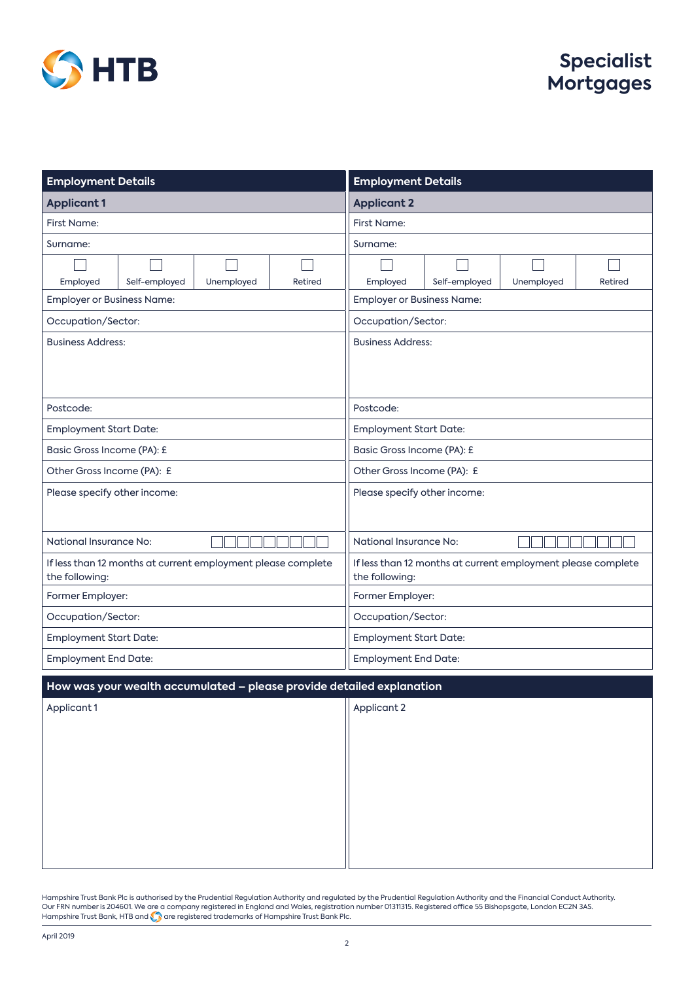

| <b>Employment Details</b>                                                      |               | <b>Employment Details</b>                                                      |                               |                                   |               |            |         |
|--------------------------------------------------------------------------------|---------------|--------------------------------------------------------------------------------|-------------------------------|-----------------------------------|---------------|------------|---------|
| <b>Applicant 1</b>                                                             |               | <b>Applicant 2</b>                                                             |                               |                                   |               |            |         |
| First Name:                                                                    |               | First Name:                                                                    |                               |                                   |               |            |         |
| Surname:                                                                       |               |                                                                                |                               | Surname:                          |               |            |         |
|                                                                                |               |                                                                                |                               |                                   |               |            |         |
| Employed                                                                       | Self-employed | Unemployed                                                                     | Retired                       | Employed                          | Self-employed | Unemployed | Retired |
| <b>Employer or Business Name:</b>                                              |               |                                                                                |                               | <b>Employer or Business Name:</b> |               |            |         |
| Occupation/Sector:                                                             |               |                                                                                |                               | Occupation/Sector:                |               |            |         |
| <b>Business Address:</b>                                                       |               | <b>Business Address:</b>                                                       |                               |                                   |               |            |         |
| Postcode:                                                                      |               |                                                                                |                               | Postcode:                         |               |            |         |
| <b>Employment Start Date:</b>                                                  |               |                                                                                |                               | <b>Employment Start Date:</b>     |               |            |         |
| Basic Gross Income (PA): £                                                     |               |                                                                                |                               | Basic Gross Income (PA): £        |               |            |         |
| Other Gross Income (PA): £                                                     |               |                                                                                |                               | Other Gross Income (PA): £        |               |            |         |
| Please specify other income:                                                   |               | Please specify other income:                                                   |                               |                                   |               |            |         |
| <b>National Insurance No:</b>                                                  |               |                                                                                | <b>National Insurance No:</b> |                                   |               |            |         |
| If less than 12 months at current employment please complete<br>the following: |               | If less than 12 months at current employment please complete<br>the following: |                               |                                   |               |            |         |
| Former Employer:                                                               |               | Former Employer:                                                               |                               |                                   |               |            |         |
| Occupation/Sector:                                                             |               | Occupation/Sector:                                                             |                               |                                   |               |            |         |
| <b>Employment Start Date:</b>                                                  |               |                                                                                |                               | <b>Employment Start Date:</b>     |               |            |         |
| <b>Employment End Date:</b>                                                    |               |                                                                                |                               | <b>Employment End Date:</b>       |               |            |         |
| How was your wealth accumulated - please provide detailed explanation          |               |                                                                                |                               |                                   |               |            |         |
| Applicant 1                                                                    |               |                                                                                |                               | Applicant 2                       |               |            |         |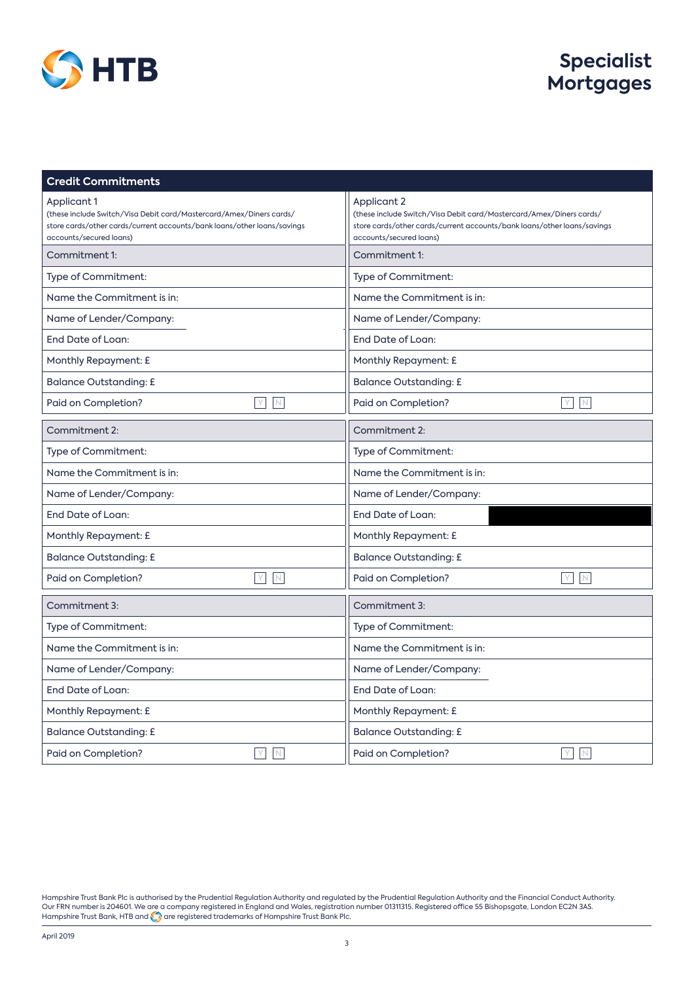

## **Specialist Mortgages**

| <b>Credit Commitments</b>                                                                                                                                                                |                                                                                                                                                                                          |
|------------------------------------------------------------------------------------------------------------------------------------------------------------------------------------------|------------------------------------------------------------------------------------------------------------------------------------------------------------------------------------------|
| Applicant 1<br>(these include Switch/Visa Debit card/Mastercard/Amex/Diners cards/<br>store cards/other cards/current accounts/bank loans/other loans/savings<br>accounts/secured loans) | Applicant 2<br>(these include Switch/Visa Debit card/Mastercard/Amex/Diners cards/<br>store cards/other cards/current accounts/bank loans/other loans/savings<br>accounts/secured loans) |
| Commitment 1:                                                                                                                                                                            | Commitment 1:                                                                                                                                                                            |
| Type of Commitment:                                                                                                                                                                      | Type of Commitment:                                                                                                                                                                      |
| Name the Commitment is in:                                                                                                                                                               | Name the Commitment is in:                                                                                                                                                               |
| Name of Lender/Company:                                                                                                                                                                  | Name of Lender/Company:                                                                                                                                                                  |
| End Date of Loan:                                                                                                                                                                        | End Date of Loan:                                                                                                                                                                        |
| Monthly Repayment: £                                                                                                                                                                     | Monthly Repayment: £                                                                                                                                                                     |
| <b>Balance Outstanding: £</b>                                                                                                                                                            | <b>Balance Outstanding: £</b>                                                                                                                                                            |
| Paid on Completion?<br>$\mathbb N$<br>Y                                                                                                                                                  | Paid on Completion?<br>$\mathbb N$<br>Y.                                                                                                                                                 |
| Commitment 2:                                                                                                                                                                            | Commitment 2:                                                                                                                                                                            |
| Type of Commitment:                                                                                                                                                                      | Type of Commitment:                                                                                                                                                                      |
| Name the Commitment is in:                                                                                                                                                               | Name the Commitment is in:                                                                                                                                                               |
| Name of Lender/Company:                                                                                                                                                                  | Name of Lender/Company:                                                                                                                                                                  |
| End Date of Loan:                                                                                                                                                                        | End Date of Loan:                                                                                                                                                                        |
| Monthly Repayment: £                                                                                                                                                                     | Monthly Repayment: £                                                                                                                                                                     |
| <b>Balance Outstanding: £</b>                                                                                                                                                            | <b>Balance Outstanding: £</b>                                                                                                                                                            |
| $\mathbb N$<br>Y<br>Paid on Completion?                                                                                                                                                  | N<br>Paid on Completion?<br>Y                                                                                                                                                            |
| Commitment 3:                                                                                                                                                                            | Commitment 3:                                                                                                                                                                            |
| Type of Commitment:                                                                                                                                                                      | Type of Commitment:                                                                                                                                                                      |
| Name the Commitment is in:                                                                                                                                                               | Name the Commitment is in:                                                                                                                                                               |
| Name of Lender/Company:                                                                                                                                                                  | Name of Lender/Company:                                                                                                                                                                  |
| End Date of Loan:                                                                                                                                                                        | End Date of Loan:                                                                                                                                                                        |
| Monthly Repayment: £                                                                                                                                                                     | Monthly Repayment: £                                                                                                                                                                     |
| <b>Balance Outstanding: £</b>                                                                                                                                                            | <b>Balance Outstanding: £</b>                                                                                                                                                            |
| $\mathbb N$<br>Paid on Completion?<br>Y                                                                                                                                                  | $\mathbb N$<br>Y<br>Paid on Completion?                                                                                                                                                  |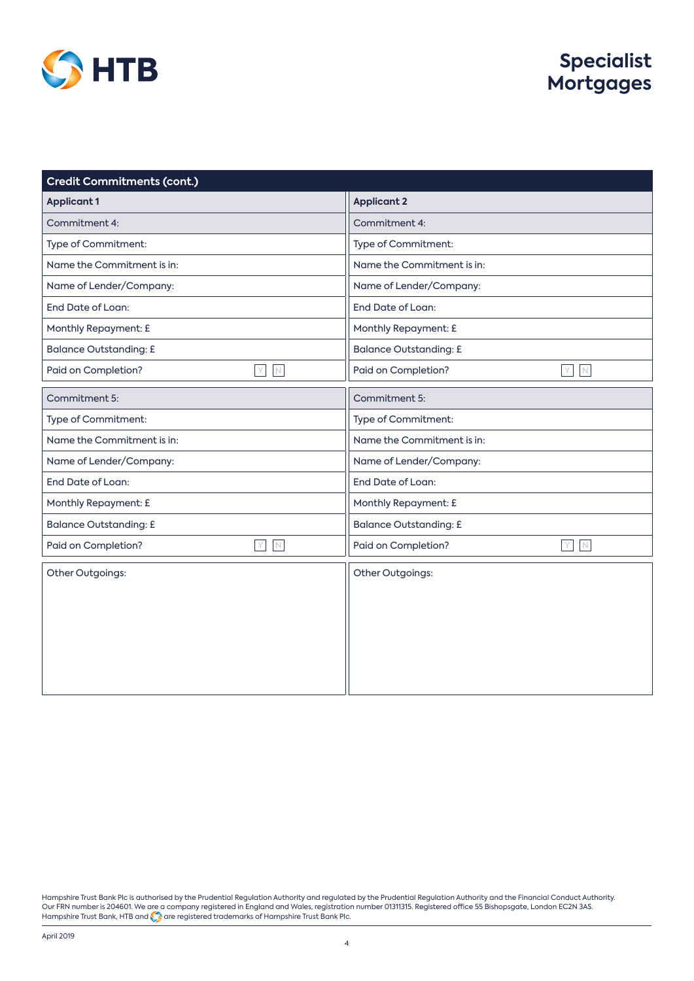

## **Specialist Mortgages**

| <b>Credit Commitments (cont.)</b>             |                                                     |
|-----------------------------------------------|-----------------------------------------------------|
| <b>Applicant 1</b>                            | <b>Applicant 2</b>                                  |
| Commitment 4:                                 | Commitment 4:                                       |
| Type of Commitment:                           | Type of Commitment:                                 |
| Name the Commitment is in:                    | Name the Commitment is in:                          |
| Name of Lender/Company:                       | Name of Lender/Company:                             |
| End Date of Loan:                             | End Date of Loan:                                   |
| Monthly Repayment: £                          | Monthly Repayment: £                                |
| <b>Balance Outstanding: £</b>                 | <b>Balance Outstanding: £</b>                       |
| $\mathbb N$<br>Paid on Completion?<br>Y.      | $\overline{\mathbb{N}}$<br>Paid on Completion?<br>Y |
| Commitment 5:                                 | Commitment 5:                                       |
| Type of Commitment:                           | Type of Commitment:                                 |
| Name the Commitment is in:                    | Name the Commitment is in:                          |
| Name of Lender/Company:                       | Name of Lender/Company:                             |
| End Date of Loan:                             | End Date of Loan:                                   |
| Monthly Repayment: £                          | Monthly Repayment: £                                |
| <b>Balance Outstanding: £</b>                 | <b>Balance Outstanding: £</b>                       |
| $\,$ N<br>Paid on Completion?<br>$\mathsf{Y}$ | $\,N$<br>Paid on Completion?<br>$\mathsf{Y}$        |
| Other Outgoings:                              | Other Outgoings:                                    |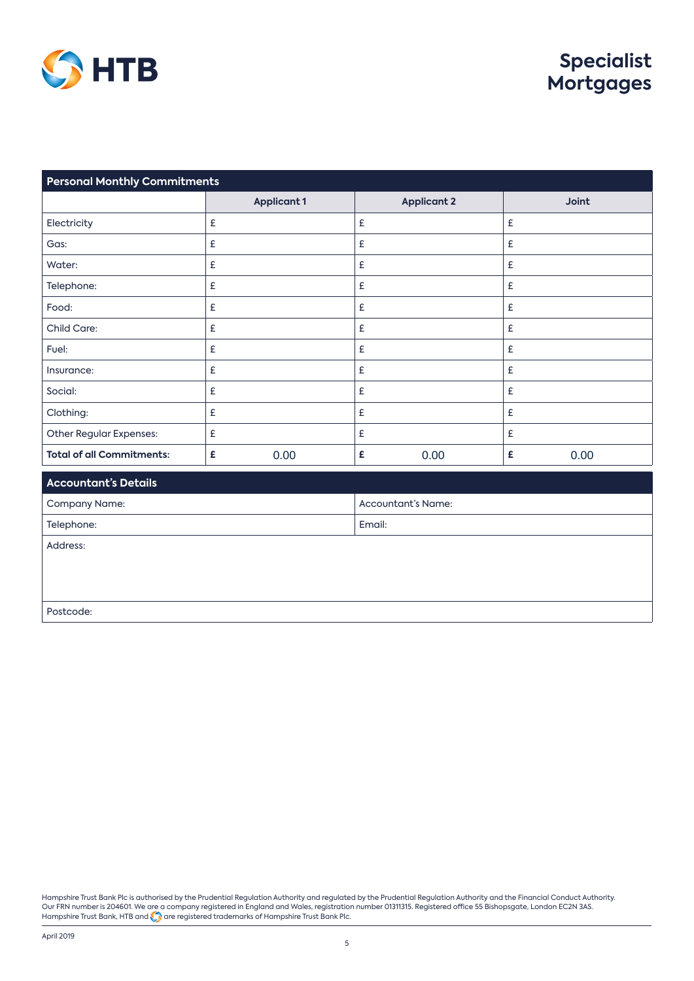

| <b>Personal Monthly Commitments</b> |                    |                    |              |
|-------------------------------------|--------------------|--------------------|--------------|
|                                     | <b>Applicant 1</b> | <b>Applicant 2</b> | <b>Joint</b> |
| Electricity                         | £                  | £                  | £            |
| Gas:                                | £                  | £                  | £            |
| Water:                              | £                  | £                  | £            |
| Telephone:                          | £                  | £                  | £            |
| Food:                               | £                  | £                  | £            |
| Child Care:                         | £                  | £                  | £            |
| Fuel:                               | £                  | £                  | £            |
| Insurance:                          | £                  | £                  | £            |
| Social:                             | £                  | £                  | £            |
| Clothing:                           | £                  | £                  | £            |
| Other Regular Expenses:             | £                  | £                  | £            |
| <b>Total of all Commitments:</b>    | 0.00<br>£          | 0.00<br>£          | 0.00<br>£    |

#### **Accountant's Details**

| Company Name: | <b>Accountant's Name:</b> |
|---------------|---------------------------|
| Telephone:    | Email:                    |
| Address:      |                           |
|               |                           |
|               |                           |
|               |                           |

Postcode: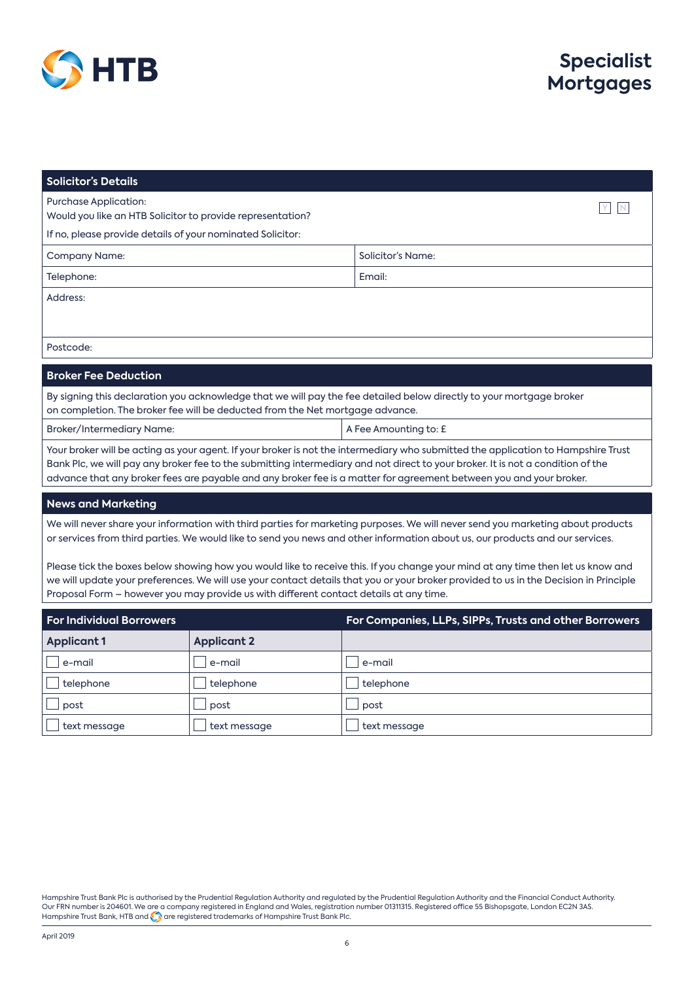

| <b>Solicitor's Details</b>                                                                                                                                                                                                                                                                                                                                                                 |                       |  |  |
|--------------------------------------------------------------------------------------------------------------------------------------------------------------------------------------------------------------------------------------------------------------------------------------------------------------------------------------------------------------------------------------------|-----------------------|--|--|
| <b>Purchase Application:</b><br>Would you like an HTB Solicitor to provide representation?                                                                                                                                                                                                                                                                                                 |                       |  |  |
| If no, please provide details of your nominated Solicitor:                                                                                                                                                                                                                                                                                                                                 |                       |  |  |
| <b>Company Name:</b>                                                                                                                                                                                                                                                                                                                                                                       | Solicitor's Name:     |  |  |
| Telephone:                                                                                                                                                                                                                                                                                                                                                                                 | Email:                |  |  |
| Address:                                                                                                                                                                                                                                                                                                                                                                                   |                       |  |  |
|                                                                                                                                                                                                                                                                                                                                                                                            |                       |  |  |
| Postcode:                                                                                                                                                                                                                                                                                                                                                                                  |                       |  |  |
| <b>Broker Fee Deduction</b>                                                                                                                                                                                                                                                                                                                                                                |                       |  |  |
| By signing this declaration you acknowledge that we will pay the fee detailed below directly to your mortgage broker<br>on completion. The broker fee will be deducted from the Net mortgage advance.                                                                                                                                                                                      |                       |  |  |
| Broker/Intermediary Name:                                                                                                                                                                                                                                                                                                                                                                  | A Fee Amounting to: £ |  |  |
| Your broker will be acting as your agent. If your broker is not the intermediary who submitted the application to Hampshire Trust<br>Bank Plc, we will pay any broker fee to the submitting intermediary and not direct to your broker. It is not a condition of the<br>advance that any broker fees are payable and any broker fee is a matter for agreement between you and your broker. |                       |  |  |
| <b>News and Marketing</b>                                                                                                                                                                                                                                                                                                                                                                  |                       |  |  |

We will never share your information with third parties for marketing purposes. We will never send you marketing about products or services from third parties. We would like to send you news and other information about us, our products and our services.

Please tick the boxes below showing how you would like to receive this. If you change your mind at any time then let us know and we will update your preferences. We will use your contact details that you or your broker provided to us in the Decision in Principle Proposal Form – however you may provide us with different contact details at any time.

| <b>For Individual Borrowers</b> |                    | For Companies, LLPs, SIPPs, Trusts and other Borrowers |  |  |
|---------------------------------|--------------------|--------------------------------------------------------|--|--|
| <b>Applicant 1</b>              | <b>Applicant 2</b> |                                                        |  |  |
| e-mail                          | e-mail             | e-mail                                                 |  |  |
| telephone                       | telephone          | telephone                                              |  |  |
| post                            | post               | post                                                   |  |  |
| text message                    | text message       | text message                                           |  |  |

Hampshire Trust Bank Plc is authorised by the Prudential Regulation Authority and regulated by the Prudential Regulation Authority and the Financial Conduct Authority.<br>Our FRN number is 204601. We are a company registered Hampshire Trust Bank, HTB and  $\bigcirc$  are registered trademarks of Hampshire Trust Bank Plc.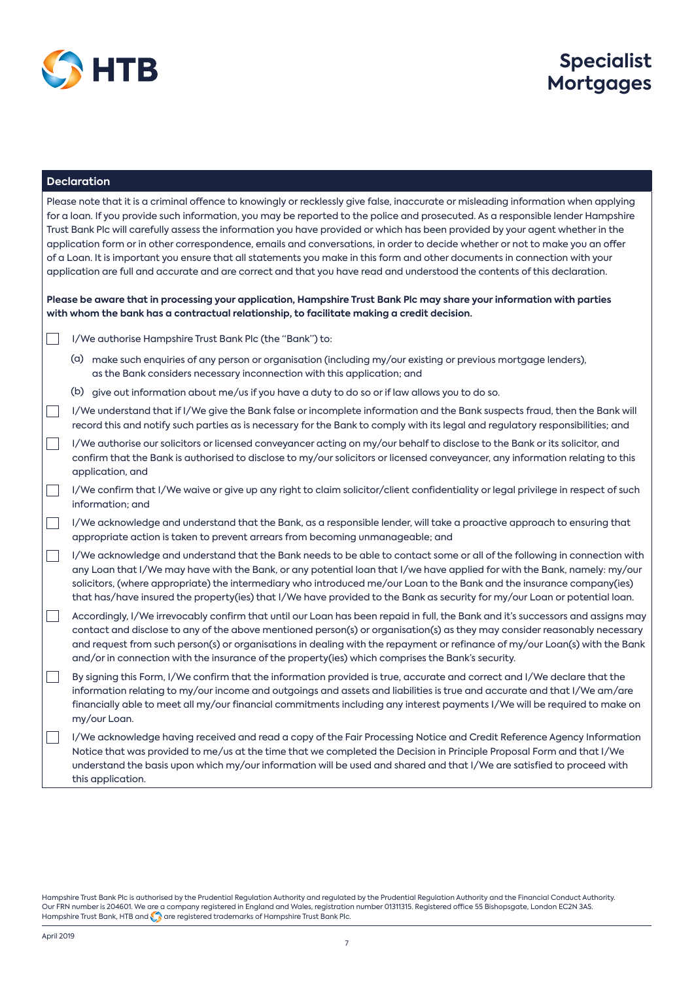

#### **Declaration**

Please note that it is a criminal offence to knowingly or recklessly give false, inaccurate or misleading information when applying for a loan. If you provide such information, you may be reported to the police and prosecuted. As a responsible lender Hampshire Trust Bank Plc will carefully assess the information you have provided or which has been provided by your agent whether in the application form or in other correspondence, emails and conversations, in order to decide whether or not to make you an offer of a Loan. It is important you ensure that all statements you make in this form and other documents in connection with your application are full and accurate and are correct and that you have read and understood the contents of this declaration.

**Please be aware that in processing your application, Hampshire Trust Bank Plc may share your information with parties with whom the bank has a contractual relationship, to facilitate making a credit decision.**

- I/We authorise Hampshire Trust Bank Plc (the "Bank") to:
	- (a) make such enquiries of any person or organisation (including my/our existing or previous mortgage lenders), as the Bank considers necessary inconnection with this application; and
	- (b) give out information about me/us if you have a duty to do so or if law allows you to do so.
- I/We understand that if I/We give the Bank false or incomplete information and the Bank suspects fraud, then the Bank will record this and notify such parties as is necessary for the Bank to comply with its legal and regulatory responsibilities; and
- I/We authorise our solicitors or licensed conveyancer acting on my/our behalf to disclose to the Bank or its solicitor, and confirm that the Bank is authorised to disclose to my/our solicitors or licensed conveyancer, any information relating to this application, and
- I/We confirm that I/We waive or give up any right to claim solicitor/client confidentiality or legal privilege in respect of such information; and
- $\vert \ \vert$  I/We acknowledge and understand that the Bank, as a responsible lender, will take a proactive approach to ensuring that appropriate action is taken to prevent arrears from becoming unmanageable; and
- $\Box$  I/We acknowledge and understand that the Bank needs to be able to contact some or all of the following in connection with any Loan that I/We may have with the Bank, or any potential loan that I/we have applied for with the Bank, namely: my/our solicitors, (where appropriate) the intermediary who introduced me/our Loan to the Bank and the insurance company(ies) that has/have insured the property(ies) that I/We have provided to the Bank as security for my/our Loan or potential loan.
- Accordingly, I/We irrevocably confirm that until our Loan has been repaid in full, the Bank and it's successors and assigns may contact and disclose to any of the above mentioned person(s) or organisation(s) as they may consider reasonably necessary and request from such person(s) or organisations in dealing with the repayment or refinance of my/our Loan(s) with the Bank and/or in connection with the insurance of the property(ies) which comprises the Bank's security.
- By signing this Form, I/We confirm that the information provided is true, accurate and correct and I/We declare that the information relating to my/our income and outgoings and assets and liabilities is true and accurate and that I/We am/are financially able to meet all my/our financial commitments including any interest payments I/We will be required to make on my/our Loan.
- I/We acknowledge having received and read a copy of the Fair Processing Notice and Credit Reference Agency Information Notice that was provided to me/us at the time that we completed the Decision in Principle Proposal Form and that I/We understand the basis upon which my/our information will be used and shared and that I/We are satisfied to proceed with this application.

Hampshire Trust Bank Plc is authorised by the Prudential Regulation Authority and regulated by the Prudential Regulation Authority and the Financial Conduct Authority. Our FRN number is 204601. We are a company registered in England and Wales, registration number 01311315. Registered office 55 Bishopsgate, London EC2N 3AS. Hampshire Trust Bank, HTB and **Co** are registered trademarks of Hampshire Trust Bank Plc.